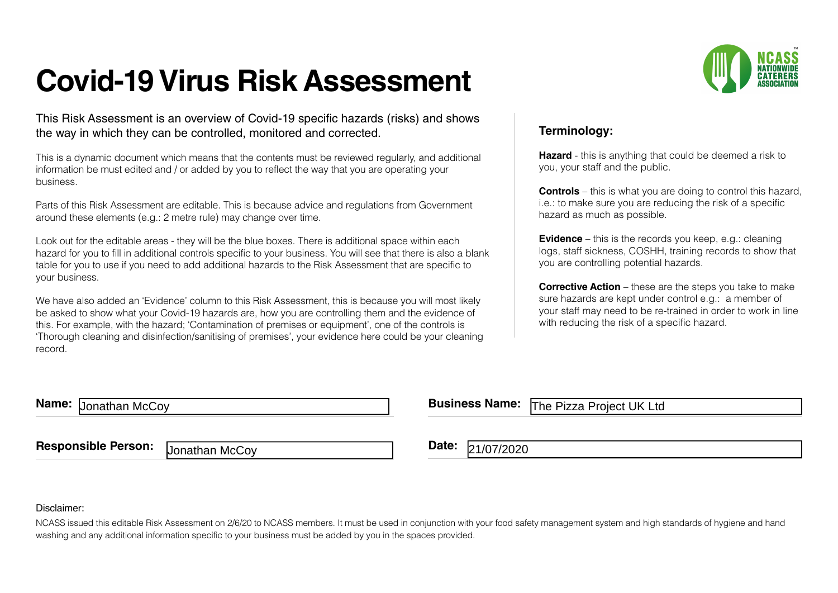## **Covid-19 Virus Risk Assessment**

This Risk Assessment is an overview of Covid-19 specific hazards (risks) and shows the way in which they can be controlled, monitored and corrected.

This is a dynamic document which means that the contents must be reviewed regularly, and additional information be must edited and / or added by you to reflect the way that you are operating your business.

Parts of this Risk Assessment are editable. This is because advice and regulations from Government around these elements (e.g.: 2 metre rule) may change over time.

Look out for the editable areas - they will be the blue boxes. There is additional space within each hazard for you to fill in additional controls specific to your business. You will see that there is also a blank table for you to use if you need to add additional hazards to the Risk Assessment that are specific to your business.

We have also added an 'Evidence' column to this Risk Assessment, this is because you will most likely be asked to show what your Covid-19 hazards are, how you are controlling them and the evidence of this. For example, with the hazard; 'Contamination of premises or equipment', one of the controls is 'Thorough cleaning and disinfection/sanitising of premises', your evidence here could be your cleaning record.



## **Terminology:**

**Hazard** - this is anything that could be deemed a risk to you, your staff and the public.

**Controls** – this is what you are doing to control this hazard, i.e.: to make sure you are reducing the risk of a specific hazard as much as possible.

**Evidence** – this is the records you keep, e.g.: cleaning logs, staff sickness, COSHH, training records to show that you are controlling potential hazards.

**Corrective Action** – these are the steps you take to make sure hazards are kept under control e.g.: a member of your staff may need to be re-trained in order to work in line with reducing the risk of a specific hazard.

**Name: IDENETATION Name: Business Name: Business Name:** 

The Pizza Project UK Ltd

**Responsible Person:** Date: **Date: Date: Date: Date:** 

Jonathan McCoy **Date:** 21/07/2020

## Disclaimer:

NCASS issued this editable Risk Assessment on 2/6/20 to NCASS members. It must be used in conjunction with your food safety management system and high standards of hygiene and hand washing and any additional information specific to your business must be added by you in the spaces provided.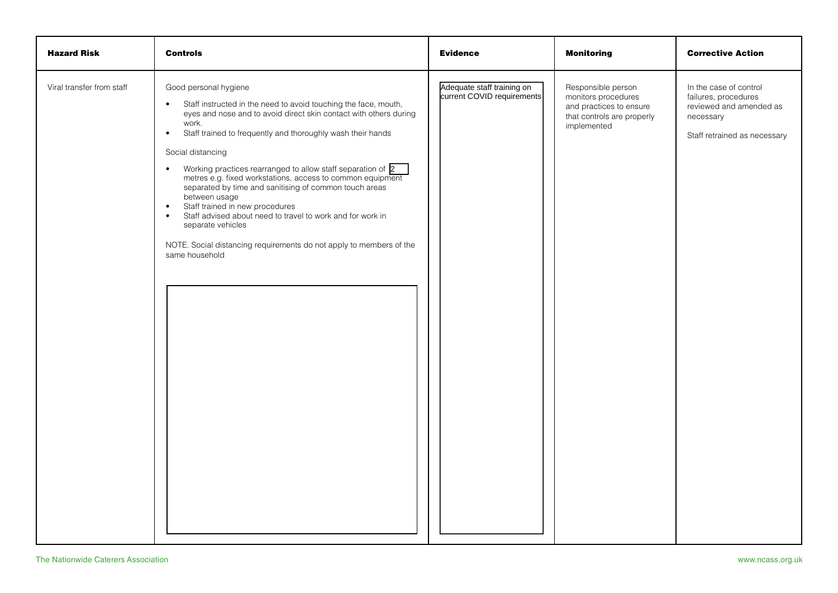| <b>Hazard Risk</b>        | <b>Controls</b>                                                                                                                                                                                                                                                                                                                                                                                                                                                                                                                                                                                                                                                                                                                                    | <b>Evidence</b>                                          | <b>Monitoring</b>                                                                                                 | <b>Corrective Action</b>                                                                                               |
|---------------------------|----------------------------------------------------------------------------------------------------------------------------------------------------------------------------------------------------------------------------------------------------------------------------------------------------------------------------------------------------------------------------------------------------------------------------------------------------------------------------------------------------------------------------------------------------------------------------------------------------------------------------------------------------------------------------------------------------------------------------------------------------|----------------------------------------------------------|-------------------------------------------------------------------------------------------------------------------|------------------------------------------------------------------------------------------------------------------------|
| Viral transfer from staff | Good personal hygiene<br>Staff instructed in the need to avoid touching the face, mouth,<br>$\bullet$<br>eyes and nose and to avoid direct skin contact with others during<br>work.<br>Staff trained to frequently and thoroughly wash their hands<br>$\bullet$<br>Social distancing<br>Working practices rearranged to allow staff separation of 2<br>$\bullet$<br>metres e.g. fixed workstations, access to common equipment<br>separated by time and sanitising of common touch areas<br>between usage<br>Staff trained in new procedures<br>$\bullet$<br>Staff advised about need to travel to work and for work in<br>$\bullet$<br>separate vehicles<br>NOTE. Social distancing requirements do not apply to members of the<br>same household | Adequate staff training on<br>current COVID requirements | Responsible person<br>monitors procedures<br>and practices to ensure<br>that controls are properly<br>implemented | In the case of control<br>failures, procedures<br>reviewed and amended as<br>necessary<br>Staff retrained as necessary |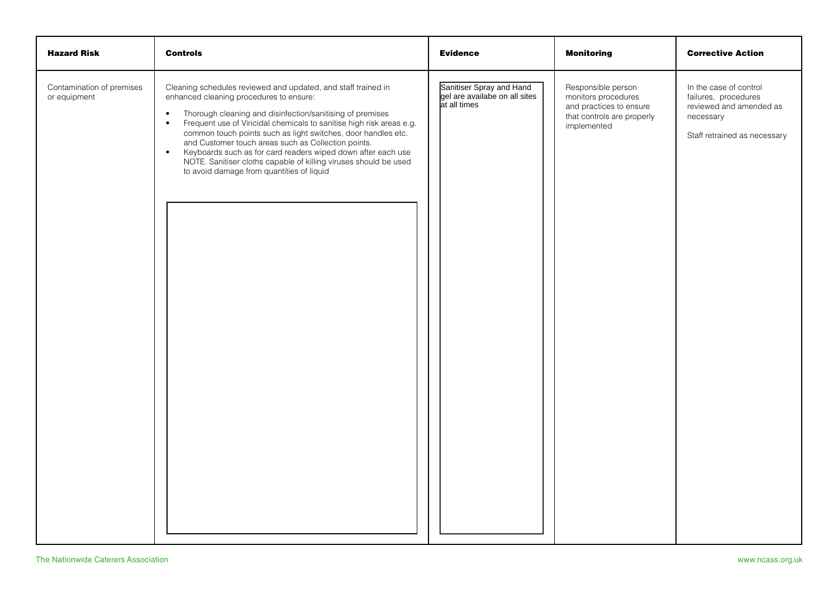| <b>Hazard Risk</b>                        | <b>Controls</b>                                                                                                                                                                                                                                                                                                                                                                                                                                                                                                                                                                               | <b>Evidence</b>                                                           | <b>Monitoring</b>                                                                                                 | <b>Corrective Action</b>                                                                                               |
|-------------------------------------------|-----------------------------------------------------------------------------------------------------------------------------------------------------------------------------------------------------------------------------------------------------------------------------------------------------------------------------------------------------------------------------------------------------------------------------------------------------------------------------------------------------------------------------------------------------------------------------------------------|---------------------------------------------------------------------------|-------------------------------------------------------------------------------------------------------------------|------------------------------------------------------------------------------------------------------------------------|
| Contamination of premises<br>or equipment | Cleaning schedules reviewed and updated, and staff trained in<br>enhanced cleaning procedures to ensure:<br>Thorough cleaning and disinfection/sanitising of premises<br>$\bullet$<br>Frequent use of Viricidal chemicals to sanitise high risk areas e.g.<br>$\bullet$<br>common touch points such as light switches, door handles etc.<br>and Customer touch areas such as Collection points.<br>Keyboards such as for card readers wiped down after each use<br>$\bullet$<br>NOTE. Sanitiser cloths capable of killing viruses should be used<br>to avoid damage from quantities of liquid | Sanitiser Spray and Hand<br>gel are availabe on all sites<br>at all times | Responsible person<br>monitors procedures<br>and practices to ensure<br>that controls are properly<br>implemented | In the case of control<br>failures, procedures<br>reviewed and amended as<br>necessary<br>Staff retrained as necessary |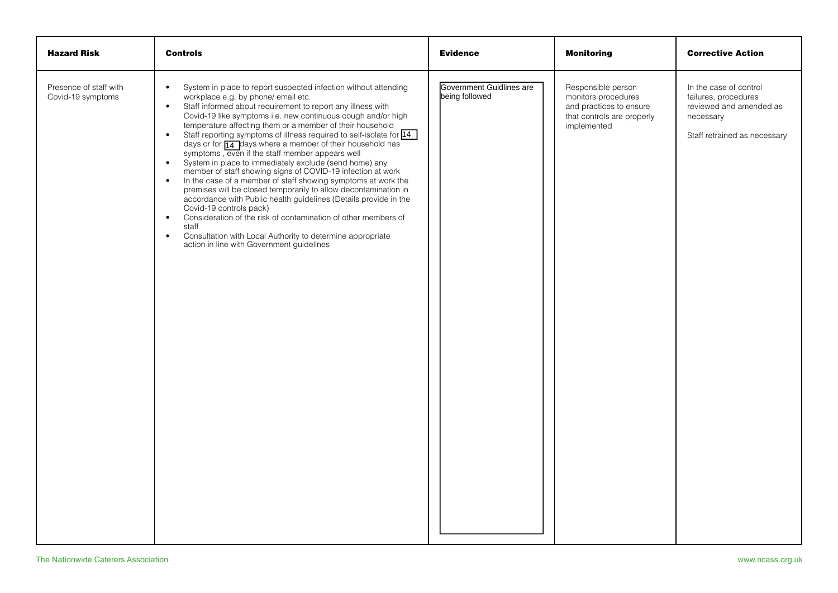| <b>Hazard Risk</b>                          | <b>Controls</b>                                                                                                                                                                                                                                                                                                                                                                                                                                                                                                                                                                                                                                                                                                                                                                                                                                                                                                                                                                                                                                                                                                                                     | <b>Evidence</b>                            | <b>Monitoring</b>                                                                                                 | <b>Corrective Action</b>                                                                                               |
|---------------------------------------------|-----------------------------------------------------------------------------------------------------------------------------------------------------------------------------------------------------------------------------------------------------------------------------------------------------------------------------------------------------------------------------------------------------------------------------------------------------------------------------------------------------------------------------------------------------------------------------------------------------------------------------------------------------------------------------------------------------------------------------------------------------------------------------------------------------------------------------------------------------------------------------------------------------------------------------------------------------------------------------------------------------------------------------------------------------------------------------------------------------------------------------------------------------|--------------------------------------------|-------------------------------------------------------------------------------------------------------------------|------------------------------------------------------------------------------------------------------------------------|
| Presence of staff with<br>Covid-19 symptoms | System in place to report suspected infection without attending<br>$\bullet$<br>workplace e.g. by phone/ email etc.<br>Staff informed about requirement to report any illness with<br>$\bullet$<br>Covid-19 like symptoms i.e. new continuous cough and/or high<br>temperature affecting them or a member of their household<br>Staff reporting symptoms of illness required to self-isolate for 14<br>$\bullet$<br>days or for $\overline{14}$ days where a member of their household has<br>symptoms, even if the staff member appears well<br>System in place to immediately exclude (send home) any<br>$\bullet$<br>member of staff showing signs of COVID-19 infection at work<br>In the case of a member of staff showing symptoms at work the<br>$\bullet$<br>premises will be closed temporarily to allow decontamination in<br>accordance with Public health guidelines (Details provide in the<br>Covid-19 controls pack)<br>Consideration of the risk of contamination of other members of<br>$\bullet$<br>staff<br>Consultation with Local Authority to determine appropriate<br>$\bullet$<br>action in line with Government guidelines | Government Guidlines are<br>being followed | Responsible person<br>monitors procedures<br>and practices to ensure<br>that controls are properly<br>implemented | In the case of control<br>failures, procedures<br>reviewed and amended as<br>necessary<br>Staff retrained as necessary |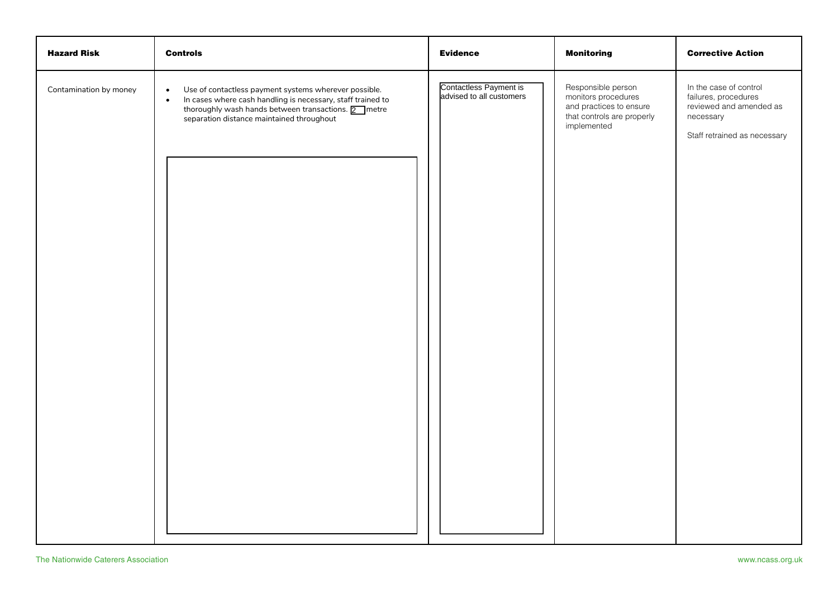| <b>Hazard Risk</b>     | <b>Controls</b>                                                                                                                                                                                                                                              | <b>Evidence</b>                                    | <b>Monitoring</b>                                                                                                 | <b>Corrective Action</b>                                                                                               |
|------------------------|--------------------------------------------------------------------------------------------------------------------------------------------------------------------------------------------------------------------------------------------------------------|----------------------------------------------------|-------------------------------------------------------------------------------------------------------------------|------------------------------------------------------------------------------------------------------------------------|
| Contamination by money | Use of contactless payment systems wherever possible.<br>$\bullet$<br>In cases where cash handling is necessary, staff trained to<br>$\bullet$<br>thoroughly wash hands between transactions. $\boxed{2}$ metre<br>separation distance maintained throughout | Contactless Payment is<br>advised to all customers | Responsible person<br>monitors procedures<br>and practices to ensure<br>that controls are properly<br>implemented | In the case of control<br>failures, procedures<br>reviewed and amended as<br>necessary<br>Staff retrained as necessary |
|                        |                                                                                                                                                                                                                                                              |                                                    |                                                                                                                   |                                                                                                                        |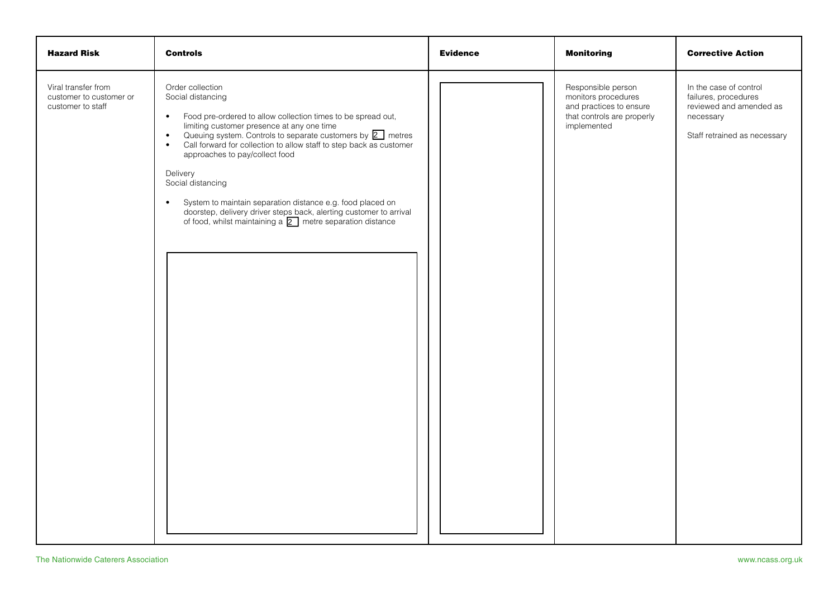| <b>Hazard Risk</b>                                                  | <b>Controls</b>                                                                                                                                                                                                                                                                                                                                                                                                                                                                                                                                                                                                  | <b>Evidence</b> | <b>Monitoring</b>                                                                                                 | <b>Corrective Action</b>                                                                                               |
|---------------------------------------------------------------------|------------------------------------------------------------------------------------------------------------------------------------------------------------------------------------------------------------------------------------------------------------------------------------------------------------------------------------------------------------------------------------------------------------------------------------------------------------------------------------------------------------------------------------------------------------------------------------------------------------------|-----------------|-------------------------------------------------------------------------------------------------------------------|------------------------------------------------------------------------------------------------------------------------|
| Viral transfer from<br>customer to customer or<br>customer to staff | Order collection<br>Social distancing<br>Food pre-ordered to allow collection times to be spread out,<br>$\bullet$<br>limiting customer presence at any one time<br>Queuing system. Controls to separate customers by 2 metres<br>$\bullet$<br>Call forward for collection to allow staff to step back as customer<br>$\bullet$<br>approaches to pay/collect food<br>Delivery<br>Social distancing<br>System to maintain separation distance e.g. food placed on<br>$\bullet$<br>doorstep, delivery driver steps back, alerting customer to arrival<br>of food, whilst maintaining a 2 metre separation distance |                 | Responsible person<br>monitors procedures<br>and practices to ensure<br>that controls are properly<br>implemented | In the case of control<br>failures, procedures<br>reviewed and amended as<br>necessary<br>Staff retrained as necessary |